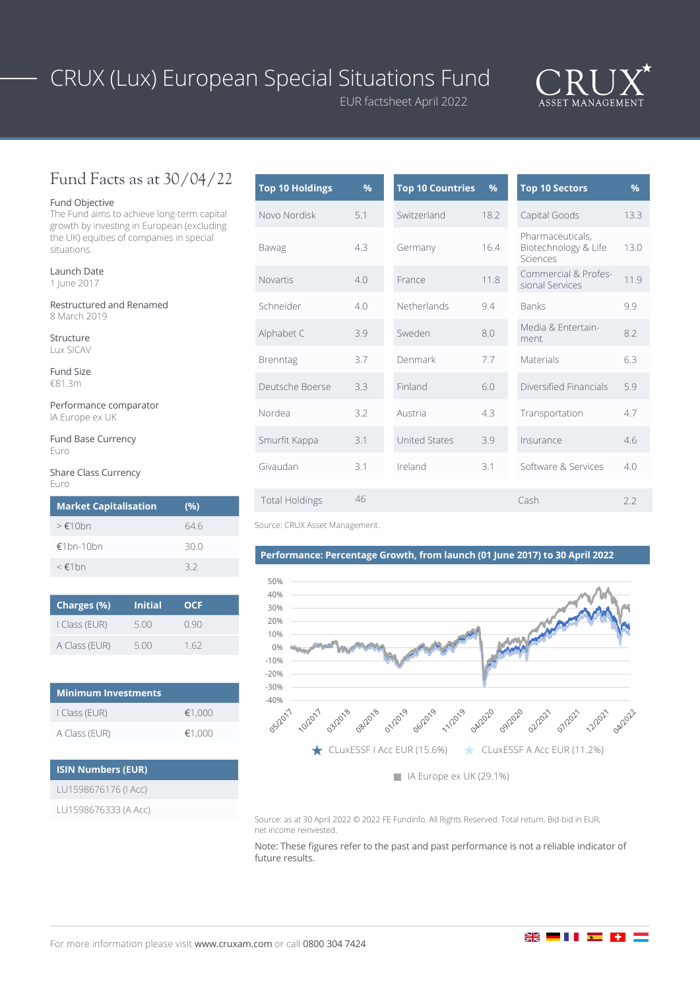# CRUX (Lux) European Special Situations Fund

EUR factsheet April 2022



## Fund Facts as at 30/04/22

### Fund Objective

The Fund aims to achieve long-term capital growth by investing in European (excluding the UK) equities of companies in special situations.

Launch Date 1 June 2017

Restructured and Renamed 8 March 2019

Structure Lux SICAV

Fund Size €81.3m

Performance comparator IA Europe ex UK

Fund Base Currency Euro

Share Class Currency Euro

| <b>Market Capitalisation</b> | (%)  |
|------------------------------|------|
| $>\epsilon$ 10bn             | 646  |
| €1bn-10bn                    | 30 O |
| $\leq$ $\notin$ 1 hn         | 32   |

| Charges (%)   | <b>Initial</b> | <b>OCF</b> |
|---------------|----------------|------------|
| I Class (EUR) | 5.00           | O 90       |
| A Class (EUR) | 5.00           | 162        |

| <b>Minimum Investments</b> |        |  |  |  |  |
|----------------------------|--------|--|--|--|--|
| I Class (EUR)              | €1.000 |  |  |  |  |
| A Class (EUR)              | €1.000 |  |  |  |  |

| <b>ISIN Numbers (EUR)</b> |  |
|---------------------------|--|
| LU1598676176 (I Acc)      |  |
| LU1598676333 (A Acc)      |  |
|                           |  |

| <b>Top 10 Holdings</b> | $\%$ | <b>Top 10 Countries</b> | %    |
|------------------------|------|-------------------------|------|
| Novo Nordisk           | 5.1  | Switzerland             | 18.2 |
| Bawag                  | 4.3  | Germany                 | 16.4 |
| <b>Novartis</b>        | 4.0  | France                  | 11.8 |
| Schneider              | 4.0  | Netherlands             | 9.4  |
| Alphabet C             | 3.9  | Sweden                  | 8.0  |
| Brenntag               | 3.7  | Denmark                 | 7.7  |
| Deutsche Boerse        | 3.3  | Finland                 | 6.0  |
| Nordea                 | 3.2  | Austria                 | 4.3  |
| Smurfit Kappa          | 3.1  | <b>United States</b>    | 3.9  |
| Givaudan               | 3.1  | Ireland                 | 3.1  |
| <b>Total Holdings</b>  | 46   |                         |      |

Source: CRUX Asset Management.

### **Performance: Percentage Growth, from launch (01 June 2017) to 30 April 2022**



Source: as at 30 April 2022 © 2022 FE Fundinfo. All Rights Reserved. Total return, Bid-bid in EUR, net income reinvested.

Note: These figures refer to the past and past performance is not a reliable indicator of future results.